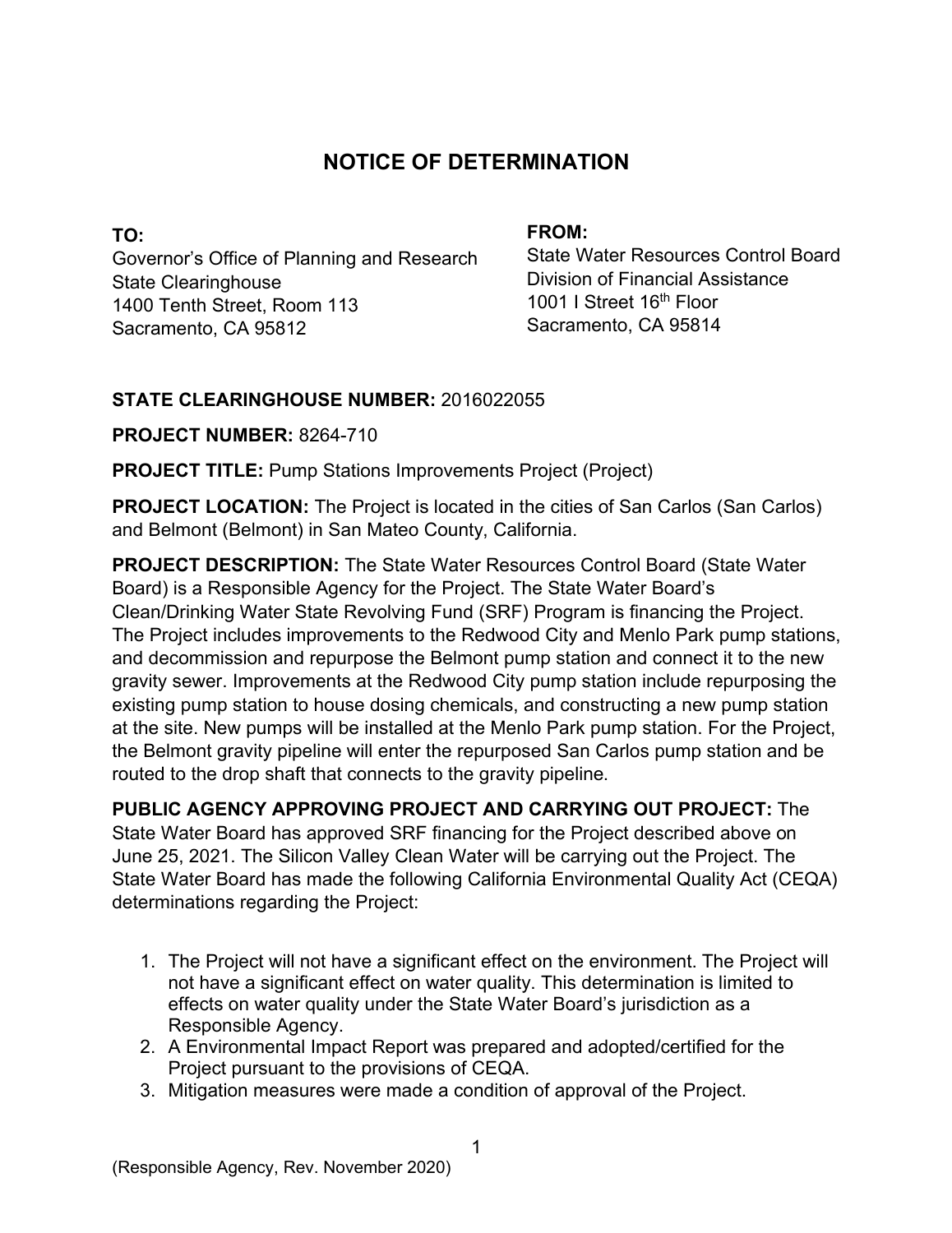# **NOTICE OF DETERMINATION**

**TO:**  Governor's Office of Planning and Research State Clearinghouse 1400 Tenth Street, Room 113 Sacramento, CA 95812

#### **FROM:**

State Water Resources Control Board Division of Financial Assistance 1001 I Street 16<sup>th</sup> Floor Sacramento, CA 95814

## **STATE CLEARINGHOUSE NUMBER:** 2016022055

**PROJECT NUMBER:** 8264-710

**PROJECT TITLE:** Pump Stations Improvements Project (Project)

**PROJECT LOCATION:** The Project is located in the cities of San Carlos (San Carlos) and Belmont (Belmont) in San Mateo County, California.

**PROJECT DESCRIPTION:** The State Water Resources Control Board (State Water Board) is a Responsible Agency for the Project. The State Water Board's Clean/Drinking Water State Revolving Fund (SRF) Program is financing the Project. The Project includes improvements to the Redwood City and Menlo Park pump stations, and decommission and repurpose the Belmont pump station and connect it to the new gravity sewer. Improvements at the Redwood City pump station include repurposing the existing pump station to house dosing chemicals, and constructing a new pump station at the site. New pumps will be installed at the Menlo Park pump station. For the Project, the Belmont gravity pipeline will enter the repurposed San Carlos pump station and be routed to the drop shaft that connects to the gravity pipeline.

**PUBLIC AGENCY APPROVING PROJECT AND CARRYING OUT PROJECT:** The State Water Board has approved SRF financing for the Project described above on June 25, 2021. The Silicon Valley Clean Water will be carrying out the Project. The State Water Board has made the following California Environmental Quality Act (CEQA) determinations regarding the Project:

- 1. The Project will not have a significant effect on the environment. The Project will not have a significant effect on water quality. This determination is limited to effects on water quality under the State Water Board's jurisdiction as a Responsible Agency.
- 2. A Environmental Impact Report was prepared and adopted/certified for the Project pursuant to the provisions of CEQA.
- 3. Mitigation measures were made a condition of approval of the Project.